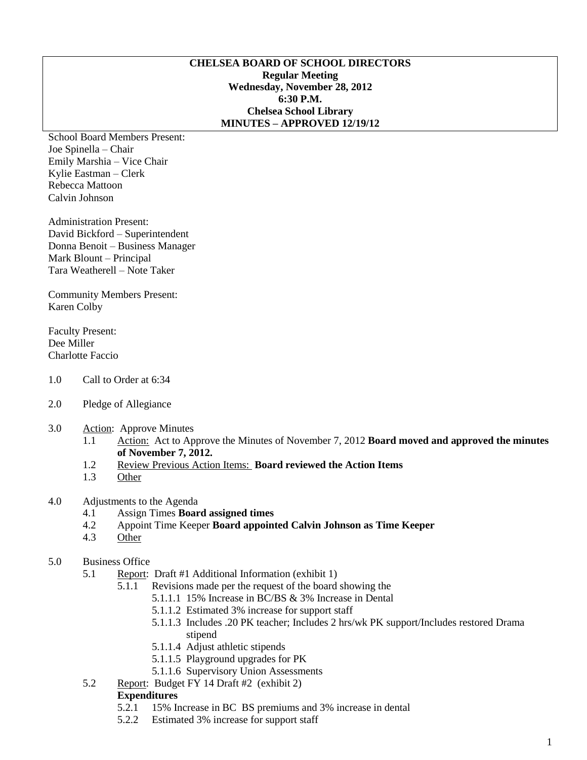#### **CHELSEA BOARD OF SCHOOL DIRECTORS Regular Meeting Wednesday, November 28, 2012 6:30 P.M. Chelsea School Library MINUTES – APPROVED 12/19/12**

School Board Members Present: Joe Spinella – Chair Emily Marshia – Vice Chair Kylie Eastman – Clerk Rebecca Mattoon Calvin Johnson

Administration Present: David Bickford – Superintendent Donna Benoit – Business Manager Mark Blount – Principal Tara Weatherell – Note Taker

Community Members Present: Karen Colby

Faculty Present: Dee Miller Charlotte Faccio

- 1.0 Call to Order at 6:34
- 2.0 Pledge of Allegiance
- 3.0 Action: Approve Minutes
	- 1.1 Action: Act to Approve the Minutes of November 7, 2012 **Board moved and approved the minutes of November 7, 2012.**
	- 1.2 Review Previous Action Items: **Board reviewed the Action Items**
	- 1.3 Other

# 4.0 Adjustments to the Agenda

- 4.1 Assign Times **Board assigned times**
- 4.2 Appoint Time Keeper **Board appointed Calvin Johnson as Time Keeper**
- 4.3 Other

# 5.0 Business Office

- 5.1 Report: Draft #1 Additional Information (exhibit 1)
	- 5.1.1 Revisions made per the request of the board showing the
		- 5.1.1.1 15% Increase in BC/BS & 3% Increase in Dental
		- 5.1.1.2 Estimated 3% increase for support staff
		- 5.1.1.3 Includes .20 PK teacher; Includes 2 hrs/wk PK support/Includes restored Drama stipend
		- 5.1.1.4 Adjust athletic stipends
		- 5.1.1.5 Playground upgrades for PK
		- 5.1.1.6 Supervisory Union Assessments
- 5.2 Report: Budget FY 14 Draft #2 (exhibit 2)

#### **Expenditures**

- 5.2.1 15% Increase in BC BS premiums and 3% increase in dental
- 5.2.2 Estimated 3% increase for support staff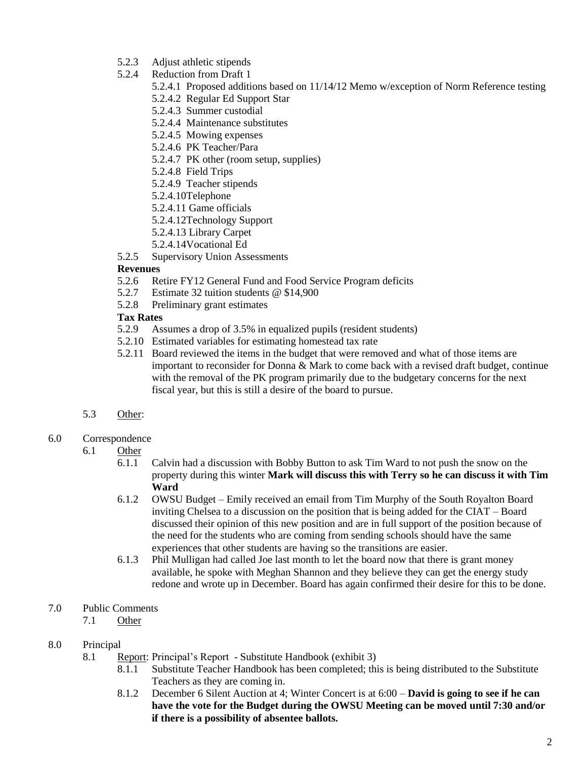- 5.2.3 Adjust athletic stipends
- 5.2.4 Reduction from Draft 1
	- 5.2.4.1 Proposed additions based on 11/14/12 Memo w/exception of Norm Reference testing
	- 5.2.4.2 Regular Ed Support Star
	- 5.2.4.3 Summer custodial
	- 5.2.4.4 Maintenance substitutes
	- 5.2.4.5 Mowing expenses
	- 5.2.4.6 PK Teacher/Para
	- 5.2.4.7 PK other (room setup, supplies)
	- 5.2.4.8 Field Trips
	- 5.2.4.9 Teacher stipends
	- 5.2.4.10Telephone
	- 5.2.4.11 Game officials
	- 5.2.4.12Technology Support
	- 5.2.4.13 Library Carpet
	- 5.2.4.14Vocational Ed
- 5.2.5 Supervisory Union Assessments

## **Revenues**

- 5.2.6 Retire FY12 General Fund and Food Service Program deficits
- 5.2.7 Estimate 32 tuition students @ \$14,900
- 5.2.8 Preliminary grant estimates

# **Tax Rates**

- 5.2.9 Assumes a drop of 3.5% in equalized pupils (resident students)
- 5.2.10 Estimated variables for estimating homestead tax rate
- 5.2.11 Board reviewed the items in the budget that were removed and what of those items are important to reconsider for Donna & Mark to come back with a revised draft budget, continue with the removal of the PK program primarily due to the budgetary concerns for the next fiscal year, but this is still a desire of the board to pursue.
- 5.3 Other:
- 6.0 Correspondence
	- 6.1 Other
		- 6.1.1 Calvin had a discussion with Bobby Button to ask Tim Ward to not push the snow on the property during this winter **Mark will discuss this with Terry so he can discuss it with Tim Ward**
		- 6.1.2 OWSU Budget Emily received an email from Tim Murphy of the South Royalton Board inviting Chelsea to a discussion on the position that is being added for the CIAT – Board discussed their opinion of this new position and are in full support of the position because of the need for the students who are coming from sending schools should have the same experiences that other students are having so the transitions are easier.
		- 6.1.3 Phil Mulligan had called Joe last month to let the board now that there is grant money available, he spoke with Meghan Shannon and they believe they can get the energy study redone and wrote up in December. Board has again confirmed their desire for this to be done.

# 7.0 Public Comments

7.1 Other

# 8.0 Principal

- 8.1 Report: Principal's Report Substitute Handbook (exhibit 3)
	- 8.1.1 Substitute Teacher Handbook has been completed; this is being distributed to the Substitute Teachers as they are coming in.
	- 8.1.2 December 6 Silent Auction at 4; Winter Concert is at 6:00 **David is going to see if he can have the vote for the Budget during the OWSU Meeting can be moved until 7:30 and/or if there is a possibility of absentee ballots.**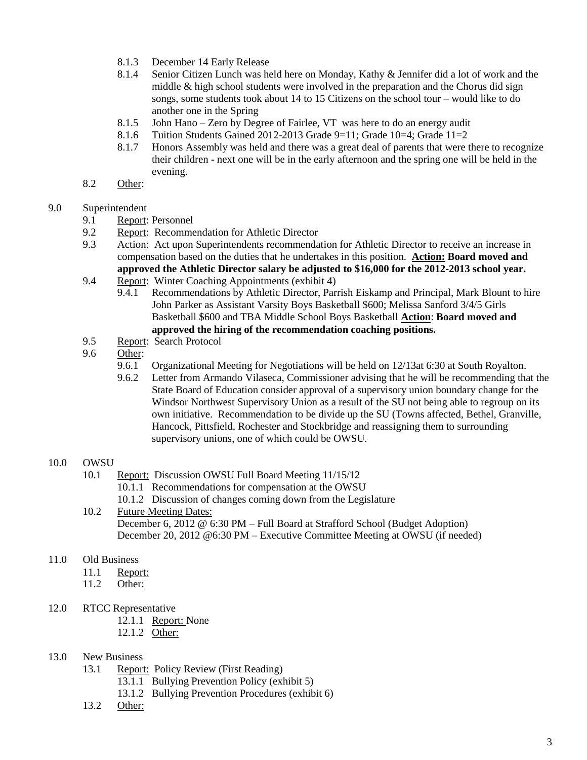- 8.1.3 December 14 Early Release
- 8.1.4 Senior Citizen Lunch was held here on Monday, Kathy & Jennifer did a lot of work and the middle & high school students were involved in the preparation and the Chorus did sign songs, some students took about 14 to 15 Citizens on the school tour – would like to do another one in the Spring
- 8.1.5 John Hano Zero by Degree of Fairlee, VT was here to do an energy audit
- 8.1.6 Tuition Students Gained 2012-2013 Grade 9=11; Grade 10=4; Grade 11=2
- 8.1.7 Honors Assembly was held and there was a great deal of parents that were there to recognize their children - next one will be in the early afternoon and the spring one will be held in the evening.
- 8.2 Other:

## 9.0 Superintendent

- 9.1 Report: Personnel
- 9.2 Report: Recommendation for Athletic Director
- 9.3 Action: Act upon Superintendents recommendation for Athletic Director to receive an increase in compensation based on the duties that he undertakes in this position. **Action: Board moved and approved the Athletic Director salary be adjusted to \$16,000 for the 2012-2013 school year.**
- 9.4 Report: Winter Coaching Appointments (exhibit 4)
	- 9.4.1 Recommendations by Athletic Director, Parrish Eiskamp and Principal, Mark Blount to hire John Parker as Assistant Varsity Boys Basketball \$600; Melissa Sanford 3/4/5 Girls Basketball \$600 and TBA Middle School Boys Basketball **Action**: **Board moved and approved the hiring of the recommendation coaching positions.**
- 9.5 Report: Search Protocol
- 9.6 Other:
	- 9.6.1 Organizational Meeting for Negotiations will be held on 12/13at 6:30 at South Royalton.
	- 9.6.2 Letter from Armando Vilaseca, Commissioner advising that he will be recommending that the State Board of Education consider approval of a supervisory union boundary change for the Windsor Northwest Supervisory Union as a result of the SU not being able to regroup on its own initiative. Recommendation to be divide up the SU (Towns affected, Bethel, Granville, Hancock, Pittsfield, Rochester and Stockbridge and reassigning them to surrounding supervisory unions, one of which could be OWSU.

#### 10.0 OWSU

- 10.1 Report: Discussion OWSU Full Board Meeting 11/15/12
	- 10.1.1 Recommendations for compensation at the OWSU
	- 10.1.2 Discussion of changes coming down from the Legislature

#### 10.2 Future Meeting Dates: December 6, 2012 @ 6:30 PM – Full Board at Strafford School (Budget Adoption) December 20, 2012 @6:30 PM – Executive Committee Meeting at OWSU (if needed)

#### 11.0 Old Business

- 11.1 Report:
- 11.2 Other:
- 12.0 RTCC Representative
	- 12.1.1 Report: None
	- 12.1.2 Other:

#### 13.0 New Business

- 13.1 Report: Policy Review (First Reading)
	- 13.1.1 Bullying Prevention Policy (exhibit 5)
	- 13.1.2 Bullying Prevention Procedures (exhibit 6)
- 13.2 Other: